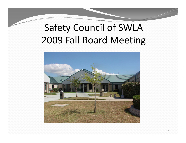## Safety Council of SWLA Fall Board Meeting

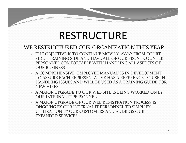# RESTRUCTURE

#### WE RESTRUCTURED OUR ORGANIZATION THIS YEAR

- y THE OBJECTIVE IS TO CONTINUE MOVING AWAY FROM COURT SIDE – TRAINING SIDE AND HAVE ALL OF OUR FRONT COUNTER PERSONNEL COMFORTABLE WITH HANDLING ALL ASPECTS OF OUR BUSINESS
- $\bullet$  A COMPREHENSIVE "EMPLOYEE MANUAL" IS IN DEVELOPMENT TO ASSURE EACH REPRESENTATIVE HAS A REFERENCE TO USE IN HANDLING ISSUES AND WILL BE USED AS A TRAINING GUIDE FOR NEW HIRES
- A MAJOR UPGRADE TO OUR WEB SITE IS BEING WORKED ON BY OUR INTERNAL IT PERSONNEL
- A MAJOR UPGRADE OF OUR WEB REGISTRATION PROCESS IS ONGOING BY OUR INTERNAL IT PERSONNEL TO SIMPLIFY UTILIZATION BY OUR CUSTOMERS AND ADDRESS OUR EXPANDED SERVICES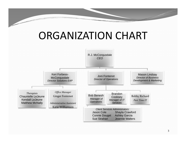## ORGANIZATION CHART

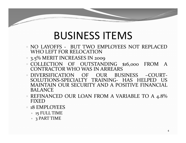## BUSINESS ITEMS

- NO LAYOFFS BUT TWO EMPLOYEES NOT REPLACED WHO LEFT FOR RELOCATION
- y 3.5% MERIT INCREASES IN 2009
- y COLLECTION OF OUTSTANDING \$16,000 FROM A CONTRACTOR WHO WAS IN ARREARS
- y DIVERSIFICATION OF OUR BUSINESS –COURT‐ SOLUTIONS‐SPECIALTY TRAINING‐ HAS HELPED US MAINTAIN OUR SECURITY AND A POSITIVE FINANCIAL**BALANCE**
- REFINANCED OUR LOAN FROM A VARIABLE TO A 4.8% FIXED
- **18 EMPLOYEES** 
	- y 15 FULL TIME
	- 3 PART TIME